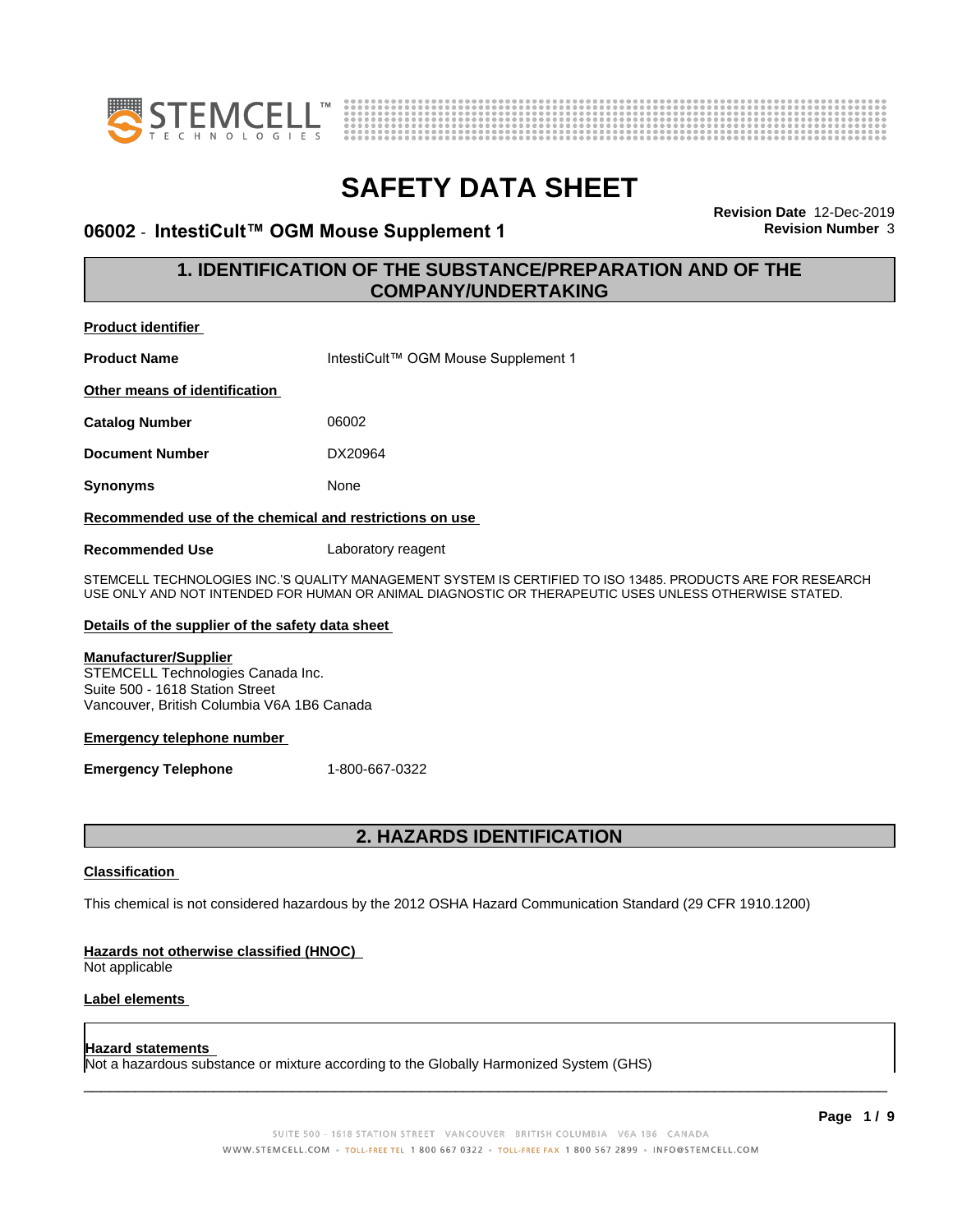



#### **06002 - IntestiCult™ OGM Mouse Supplement 1 Revision Number** 3

**Revision Date** 12-Dec-2019

#### **1. IDENTIFICATION OF THE SUBSTANCE/PREPARATION AND OF THE COMPANY/UNDERTAKING**

| <b>Product identifier</b>                                                                                                                                                                                            |                                     |  |
|----------------------------------------------------------------------------------------------------------------------------------------------------------------------------------------------------------------------|-------------------------------------|--|
| <b>Product Name</b>                                                                                                                                                                                                  | IntestiCult™ OGM Mouse Supplement 1 |  |
| Other means of identification                                                                                                                                                                                        |                                     |  |
| <b>Catalog Number</b>                                                                                                                                                                                                | 06002                               |  |
| <b>Document Number</b>                                                                                                                                                                                               | DX20964                             |  |
| <b>Synonyms</b>                                                                                                                                                                                                      | None                                |  |
| Recommended use of the chemical and restrictions on use                                                                                                                                                              |                                     |  |
| <b>Recommended Use</b>                                                                                                                                                                                               | Laboratory reagent                  |  |
| STEMCELL TECHNOLOGIES INC.'S QUALITY MANAGEMENT SYSTEM IS CERTIFIED TO ISO 13485. PRODUCTS ARE FOR RESEARCH<br>USE ONLY AND NOT INTENDED FOR HUMAN OR ANIMAL DIAGNOSTIC OR THERAPEUTIC USES UNLESS OTHERWISE STATED. |                                     |  |
| Details of the supplier of the safety data sheet                                                                                                                                                                     |                                     |  |
| <b>Manufacturer/Supplier</b><br>STEMCELL Technologies Canada Inc.<br>Suite 500 - 1618 Station Street<br>Vancouver, British Columbia V6A 1B6 Canada                                                                   |                                     |  |
| <b>Emergency telephone number</b>                                                                                                                                                                                    |                                     |  |
| <b>Emergency Telephone</b>                                                                                                                                                                                           | 1-800-667-0322                      |  |
|                                                                                                                                                                                                                      |                                     |  |
|                                                                                                                                                                                                                      | <b>2. HAZARDS IDENTIFICATION</b>    |  |
| <b>Classification</b>                                                                                                                                                                                                |                                     |  |

This chemical is not considered hazardous by the 2012 OSHA Hazard Communication Standard (29 CFR 1910.1200)

#### **Hazards not otherwise classified (HNOC)**

Not applicable

#### **Label elements**

#### **Hazard statements**

Not a hazardous substance or mixture according to the Globally Harmonized System (GHS)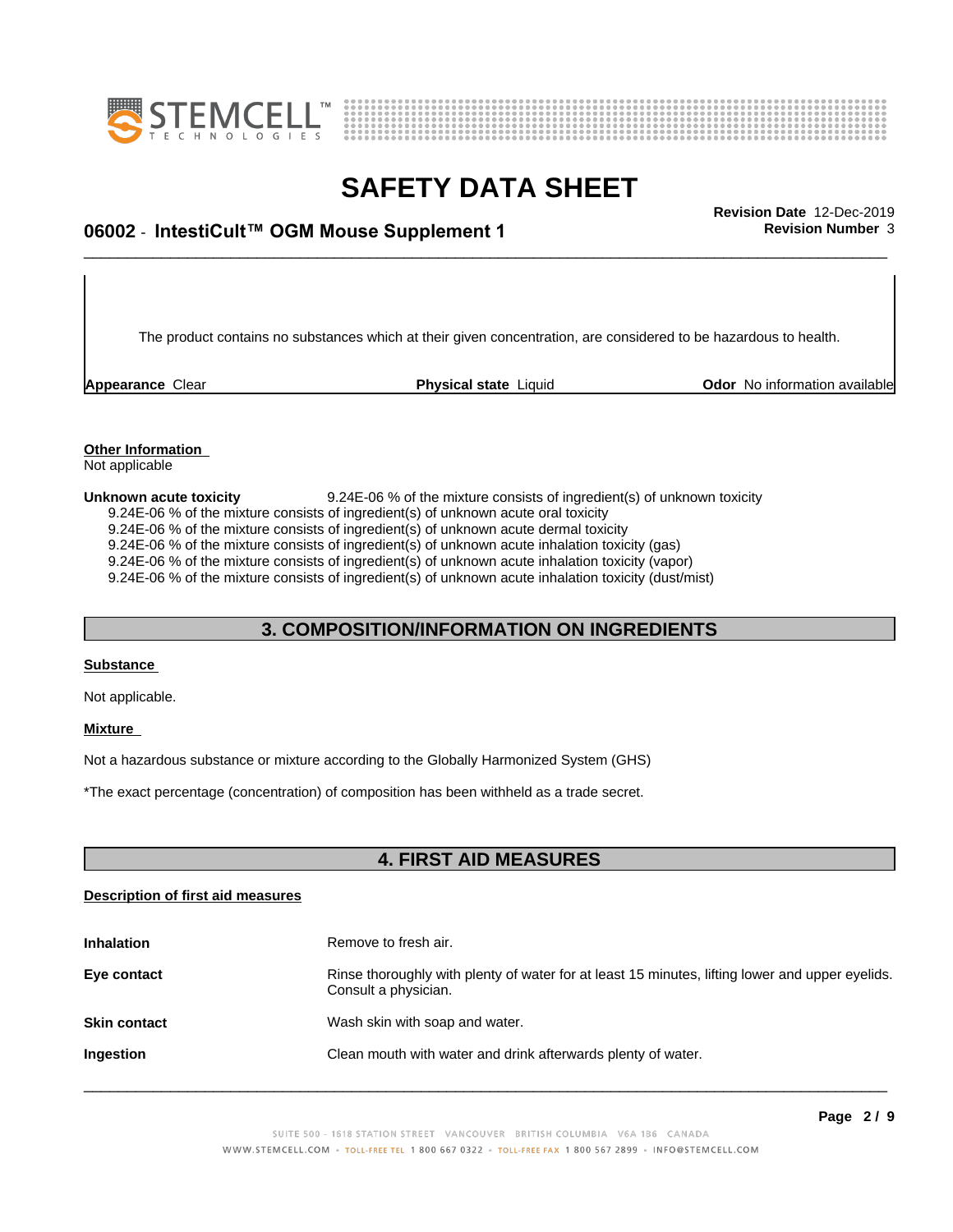



### \_\_\_\_\_\_\_\_\_\_\_\_\_\_\_\_\_\_\_\_\_\_\_\_\_\_\_\_\_\_\_\_\_\_\_\_\_\_\_\_\_\_\_\_\_\_\_\_\_\_\_\_\_\_\_\_\_\_\_\_\_\_\_\_\_\_\_\_\_\_\_\_\_\_\_\_\_\_\_\_\_\_\_\_\_\_\_\_\_\_\_\_\_ **Revision Date** 12-Dec-2019 **06002** - **IntestiCult™ OGM Mouse Supplement 1 Revision Number** 3

The product contains no substances which at their given concentration, are considered to be hazardous to health.

**Appearance** Clear **Physical state** Liquid **Odor No information available Appearance** Clear

#### **Other Information** Not applicable

**Unknown acute toxicity** 9.24E-06 % of the mixture consists of ingredient(s) of unknown toxicity 9.24E-06 % of the mixture consists of ingredient(s) of unknown acute oral toxicity  $9.24E-06$  % of the mixture consists of ingredient(s) of unknown acute dermal toxicity 9.24E-06 % of the mixture consists of ingredient(s) of unknown acute inhalation toxicity (gas) 9.24E-06 % of the mixture consists of ingredient(s) of unknown acute inhalation toxicity (vapor) 9.24E-06 % of the mixture consists of ingredient(s) of unknown acute inhalation toxicity (dust/mist)

#### **3. COMPOSITION/INFORMATION ON INGREDIENTS**

#### **Substance**

Not applicable.

#### **Mixture**

Not a hazardous substance or mixture according to the Globally Harmonized System (GHS)

\*The exact percentage (concentration) ofcomposition has been withheld as a trade secret.

#### **4. FIRST AID MEASURES**

#### **Description of first aid measures**

| <b>Inhalation</b>   | Remove to fresh air.                                                                                                    |
|---------------------|-------------------------------------------------------------------------------------------------------------------------|
| Eye contact         | Rinse thoroughly with plenty of water for at least 15 minutes, lifting lower and upper eyelids.<br>Consult a physician. |
| <b>Skin contact</b> | Wash skin with soap and water.                                                                                          |
| Ingestion           | Clean mouth with water and drink afterwards plenty of water.                                                            |
|                     |                                                                                                                         |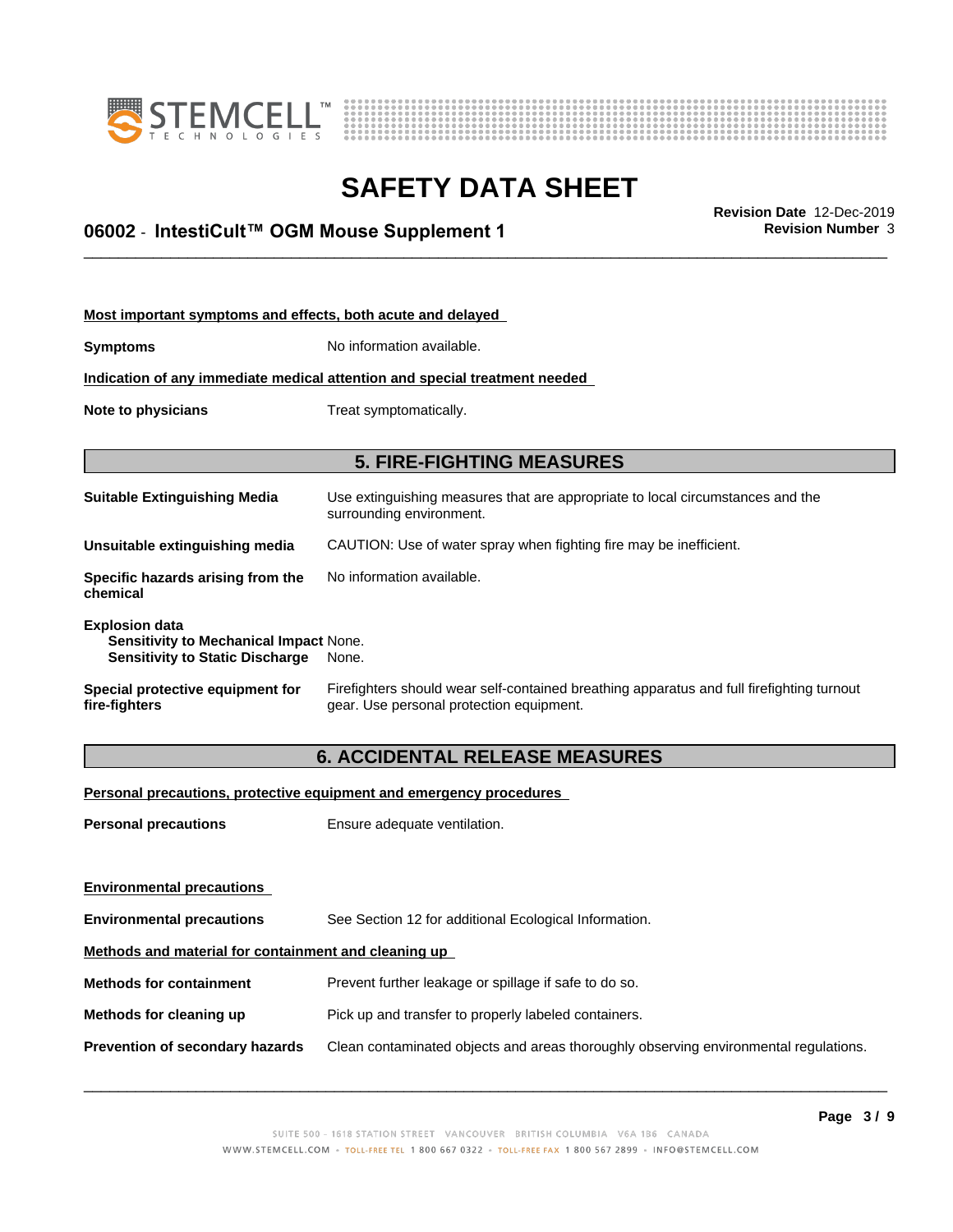



### \_\_\_\_\_\_\_\_\_\_\_\_\_\_\_\_\_\_\_\_\_\_\_\_\_\_\_\_\_\_\_\_\_\_\_\_\_\_\_\_\_\_\_\_\_\_\_\_\_\_\_\_\_\_\_\_\_\_\_\_\_\_\_\_\_\_\_\_\_\_\_\_\_\_\_\_\_\_\_\_\_\_\_\_\_\_\_\_\_\_\_\_\_ **Revision Date** 12-Dec-2019 **06002** - **IntestiCult™ OGM Mouse Supplement 1 Revision Number** 3

| Most important symptoms and effects, both acute and delayed                                               |                                                                                                                                       |  |
|-----------------------------------------------------------------------------------------------------------|---------------------------------------------------------------------------------------------------------------------------------------|--|
| <b>Symptoms</b>                                                                                           | No information available.                                                                                                             |  |
| Indication of any immediate medical attention and special treatment needed                                |                                                                                                                                       |  |
| Note to physicians                                                                                        | Treat symptomatically.                                                                                                                |  |
|                                                                                                           |                                                                                                                                       |  |
|                                                                                                           | <b>5. FIRE-FIGHTING MEASURES</b>                                                                                                      |  |
| Suitable Extinguishing Media                                                                              | Use extinguishing measures that are appropriate to local circumstances and the<br>surrounding environment.                            |  |
| Unsuitable extinguishing media                                                                            | CAUTION: Use of water spray when fighting fire may be inefficient.                                                                    |  |
| Specific hazards arising from the<br>chemical                                                             | No information available.                                                                                                             |  |
| <b>Explosion data</b><br>Sensitivity to Mechanical Impact None.<br><b>Sensitivity to Static Discharge</b> | None.                                                                                                                                 |  |
| Special protective equipment for<br>fire-fighters                                                         | Firefighters should wear self-contained breathing apparatus and full firefighting turnout<br>gear. Use personal protection equipment. |  |

### **6. ACCIDENTAL RELEASE MEASURES**

**Personal precautions, protective equipment and emergency procedures**

**Personal precautions** Ensure adequate ventilation.

| <b>Environmental precautions</b>                     |                                                                                      |  |
|------------------------------------------------------|--------------------------------------------------------------------------------------|--|
| <b>Environmental precautions</b>                     | See Section 12 for additional Ecological Information.                                |  |
| Methods and material for containment and cleaning up |                                                                                      |  |
| <b>Methods for containment</b>                       | Prevent further leakage or spillage if safe to do so.                                |  |
| Methods for cleaning up                              | Pick up and transfer to properly labeled containers.                                 |  |
| Prevention of secondary hazards                      | Clean contaminated objects and areas thoroughly observing environmental regulations. |  |
|                                                      |                                                                                      |  |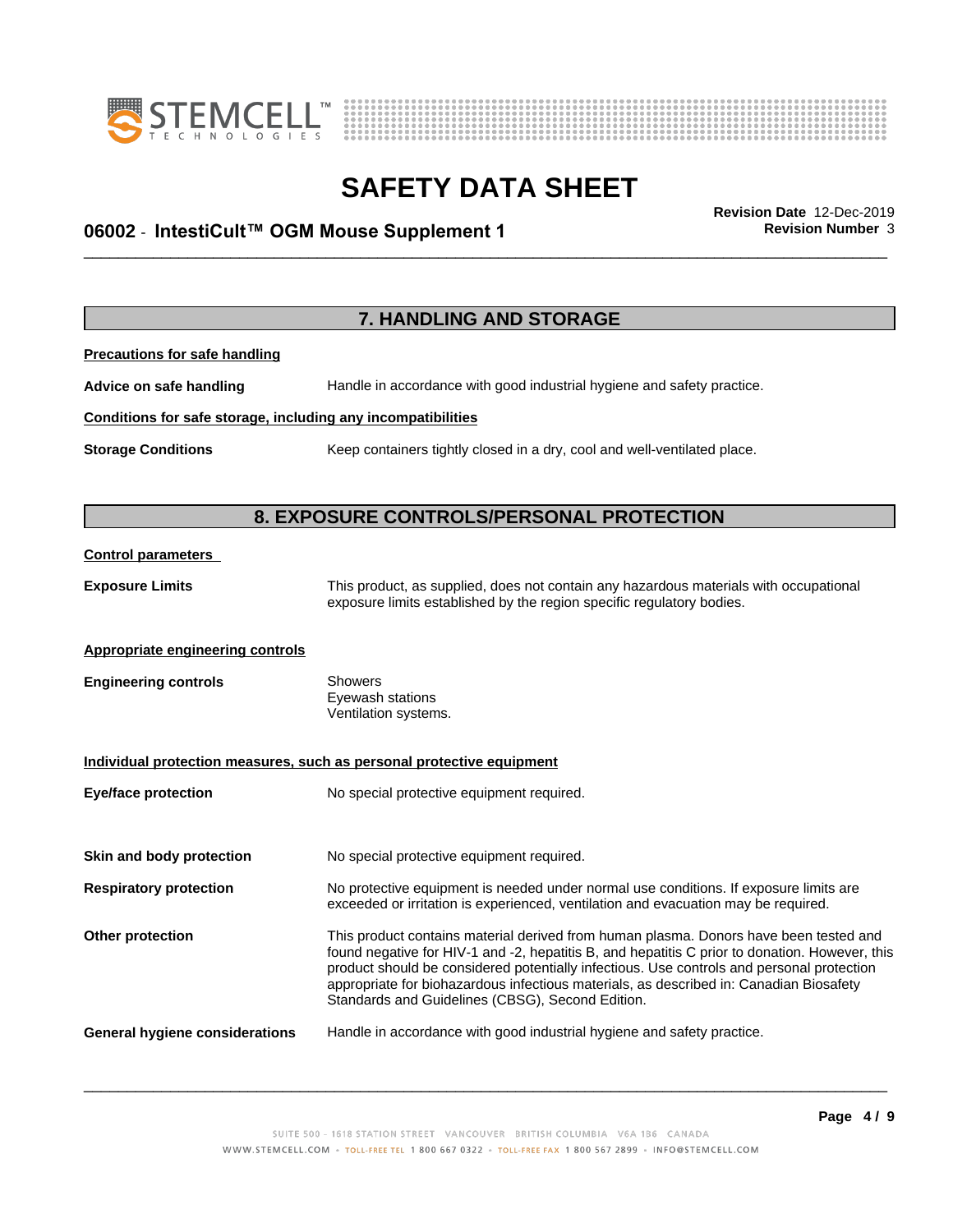



### \_\_\_\_\_\_\_\_\_\_\_\_\_\_\_\_\_\_\_\_\_\_\_\_\_\_\_\_\_\_\_\_\_\_\_\_\_\_\_\_\_\_\_\_\_\_\_\_\_\_\_\_\_\_\_\_\_\_\_\_\_\_\_\_\_\_\_\_\_\_\_\_\_\_\_\_\_\_\_\_\_\_\_\_\_\_\_\_\_\_\_\_\_ **Revision Date** 12-Dec-2019 **06002** - **IntestiCult™ OGM Mouse Supplement 1 Revision Number** 3

**7. HANDLING AND STORAGE Precautions for safe handling Advice on safe handling** Handle in accordance with good industrial hygiene and safety practice. **Conditions for safe storage, including any incompatibilities Storage Conditions** Keep containers tightly closed in a dry, cool and well-ventilated place. **8. EXPOSURE CONTROLS/PERSONAL PROTECTION Control parameters Exposure Limits** This product, as supplied, does not contain any hazardous materials with occupational exposure limits established by the region specific regulatory bodies. **Appropriate engineering controls Engineering controls** Showers Eyewash stations Ventilation systems. **Individual protection measures, such as personal protective equipment Eye/face protection** No special protective equipment required. **Skin and body protection** No special protective equipment required. **Respiratory protection** No protective equipment is needed under normal use conditions. If exposure limits are exceeded or irritation is experienced, ventilation and evacuation may be required. **Other protection** This product contains material derived from human plasma. Donors have been tested and found negative for HIV-1 and -2, hepatitis B, and hepatitis C prior to donation. However, this product should be considered potentially infectious. Use controls and personal protection appropriate for biohazardous infectious materials, as described in: Canadian Biosafety Standards and Guidelines (CBSG), Second Edition. **General hygiene considerations** Handle in accordance with good industrial hygiene and safety practice.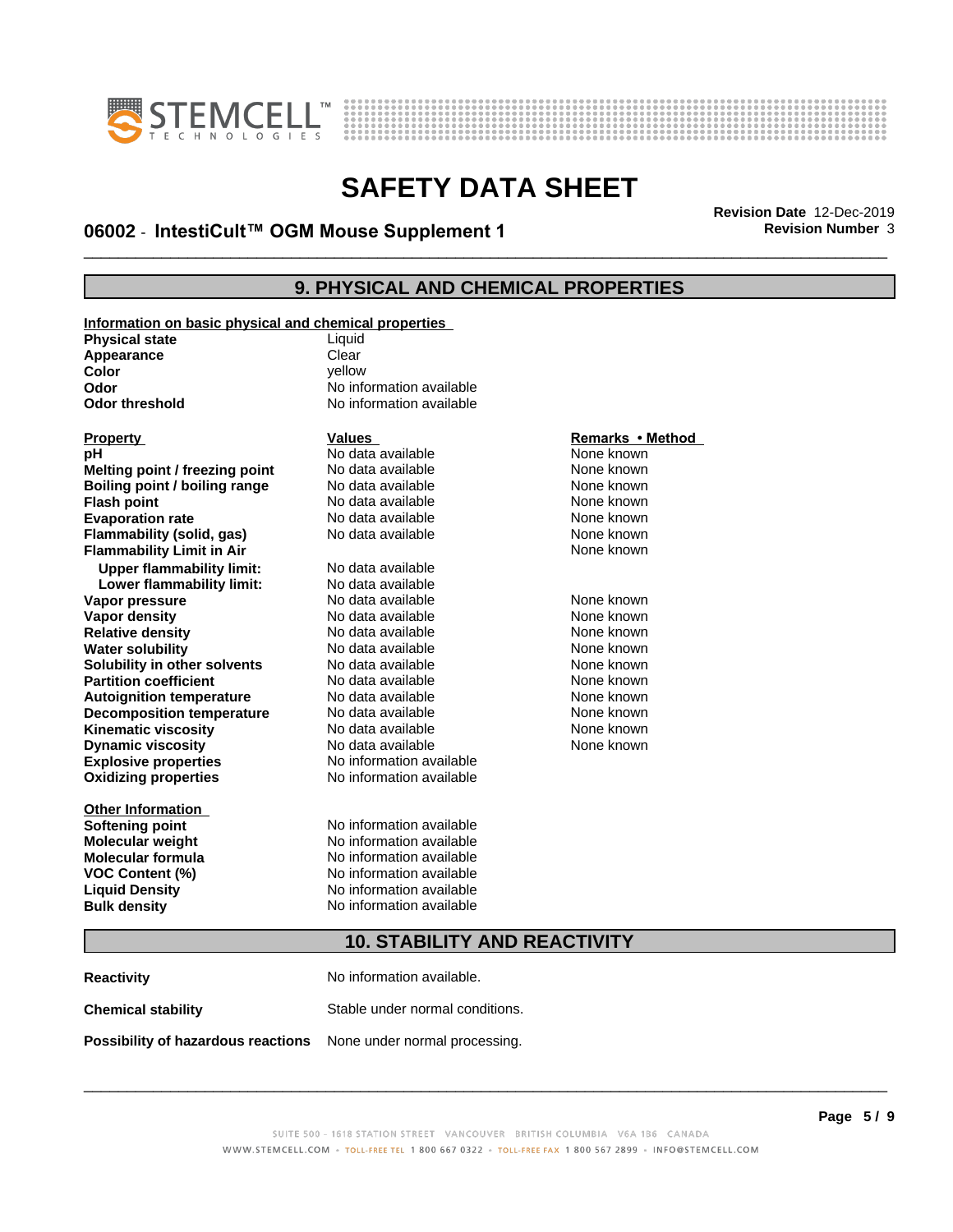



### \_\_\_\_\_\_\_\_\_\_\_\_\_\_\_\_\_\_\_\_\_\_\_\_\_\_\_\_\_\_\_\_\_\_\_\_\_\_\_\_\_\_\_\_\_\_\_\_\_\_\_\_\_\_\_\_\_\_\_\_\_\_\_\_\_\_\_\_\_\_\_\_\_\_\_\_\_\_\_\_\_\_\_\_\_\_\_\_\_\_\_\_\_ **Revision Date** 12-Dec-2019 **06002** - **IntestiCult™ OGM Mouse Supplement 1 Revision Number** 3

#### **9. PHYSICAL AND CHEMICAL PROPERTIES**

**Information on basic physical and chemical properties Physical state** Liquid **Appearance** Clear<br> **Color** Color

| .<br>Color            | vellow                   |
|-----------------------|--------------------------|
| Odor                  | No information available |
| <b>Odor threshold</b> | No information available |

**Explosive properties**<br> **Oxidizing properties**<br>
No information available **Oxidizing properties Melting point / freezing point** No data available None known<br> **Boiling point / boiling range** No data available None known **Boiling point / boiling range** No data available None known<br> **Flash point None known**<br>
No data available None known **Flash point** No data available **Evaporation rate** *rate* No data available **None known Flammability (solid, gas)** No data available None known **Flammability Limit in Air None known None known Upper flammability limit:** No data available **Lower flammability limit:** No data available **Vapor pressure** 1980 in the Modata available 1980 in the None known<br> **Vapor density** 1980 in the None Known None known in the None known None known **Vapor density No data available and the Choice of Choice Algebra 2016** None known<br> **Relative density No data available None known Relative density Water solubility No data available None known Solubility in other solvents** No data available None known **Partition coefficient**<br> **Autoignition temperature**<br>
No data available None Known<br>
None known **Autoignition temperature** Mo data available Mone known<br> **Decomposition temperature** No data available None known **Decomposition temperature** No data available None known<br> **Kinematic viscosity** No data available None known **Kinematic viscosity** No data available<br> **Dynamic viscosity** No data available **Dynamic** viscosity

**Other Information**

# No information available **No information available**

# **Property Calles Values Values**<br> **Property Called All Remarks • Method**<br> **PH** Mone known **PH** No data available **None known**<br>
No data available None known

**Softening point** No information available **Molecular weight** No information available **Molecular formula** No information available **VOC Content (%)** No information available **Liquid Density** No information available **Bulk density** No information available

None known

#### **10. STABILITY AND REACTIVITY**

**Reactivity** No information available. **Chemical stability** Stable under normal conditions. **Possibility of hazardous reactions** None under normal processing.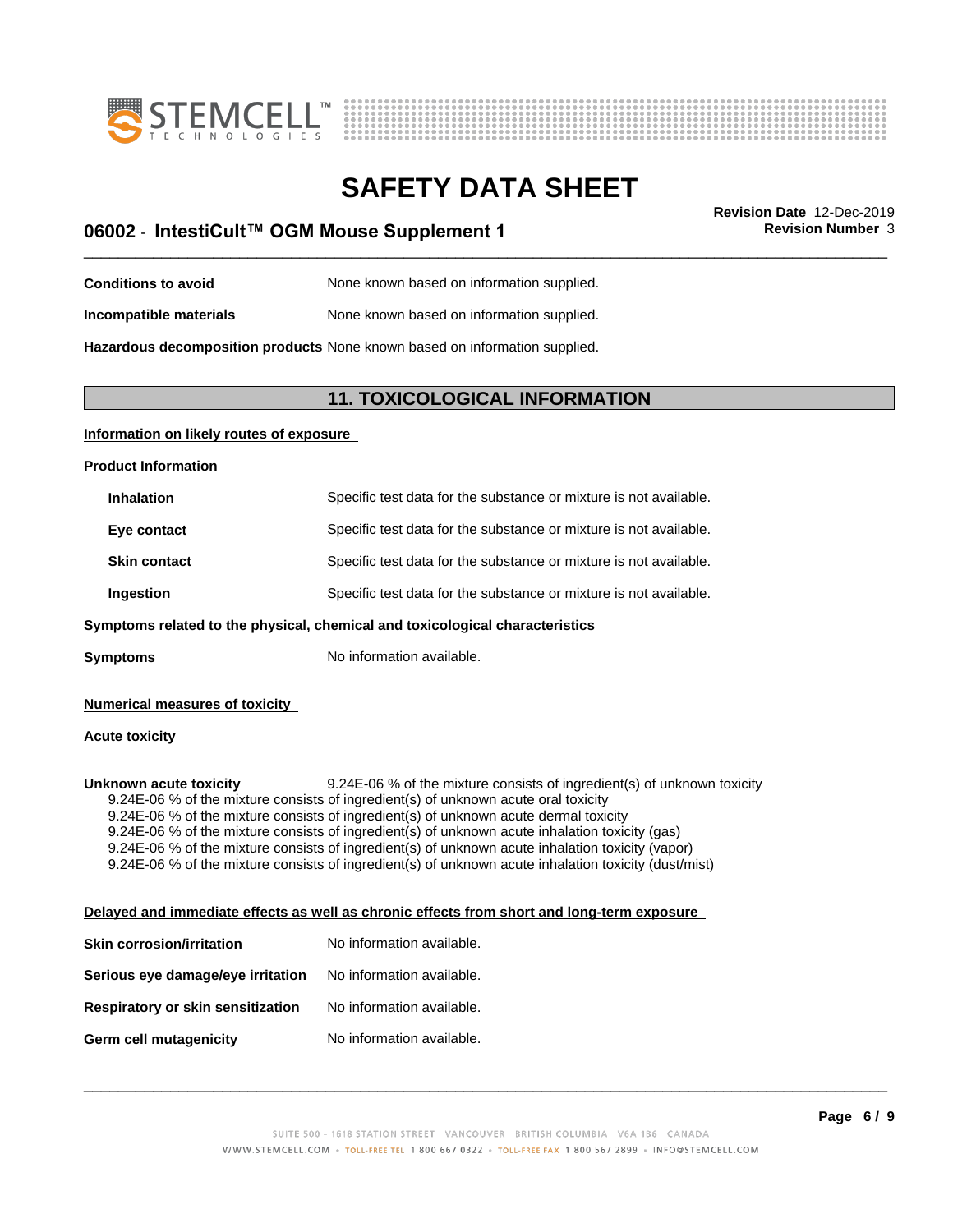



### \_\_\_\_\_\_\_\_\_\_\_\_\_\_\_\_\_\_\_\_\_\_\_\_\_\_\_\_\_\_\_\_\_\_\_\_\_\_\_\_\_\_\_\_\_\_\_\_\_\_\_\_\_\_\_\_\_\_\_\_\_\_\_\_\_\_\_\_\_\_\_\_\_\_\_\_\_\_\_\_\_\_\_\_\_\_\_\_\_\_\_\_\_ **Revision Date** 12-Dec-2019 **06002** - **IntestiCult™ OGM Mouse Supplement 1 Revision Number** 3

**Conditions to avoid** None known based on information supplied. **Incompatible materials** None known based on information supplied.

**Hazardous decomposition products** None known based on information supplied.

#### **11. TOXICOLOGICAL INFORMATION**

#### **Information on likely routes of exposure**

**Product Information**

| <b>Inhalation</b>   | Specific test data for the substance or mixture is not available. |
|---------------------|-------------------------------------------------------------------|
| Eye contact         | Specific test data for the substance or mixture is not available. |
| <b>Skin contact</b> | Specific test data for the substance or mixture is not available. |
| Ingestion           | Specific test data for the substance or mixture is not available. |

#### **<u>Symptoms related to the physical, chemical and toxicological characteristics</u>**

**Symptoms** No information available.

#### **Numerical measures of toxicity**

#### **Acute toxicity**

**Unknown acute toxicity** 9.24E-06 % of the mixture consists of ingredient(s) of unknown toxicity 9.24E-06 % of the mixture consists of ingredient(s) of unknown acute oral toxicity 9.24E-06 % of the mixture consists of ingredient(s) of unknown acute dermal toxicity 9.24E-06 % of the mixture consists of ingredient(s) of unknown acute inhalation toxicity (gas) 9.24E-06 % of the mixture consists of ingredient(s) of unknown acute inhalation toxicity (vapor) 9.24E-06 % of the mixture consists of ingredient(s) of unknown acute inhalation toxicity (dust/mist)

#### **Delayed and immediate effects as well as chronic effects from short and long-term exposure**

| Skin corrosion/irritation         | No information available. |
|-----------------------------------|---------------------------|
| Serious eye damage/eye irritation | No information available. |
| Respiratory or skin sensitization | No information available. |
| Germ cell mutagenicity            | No information available. |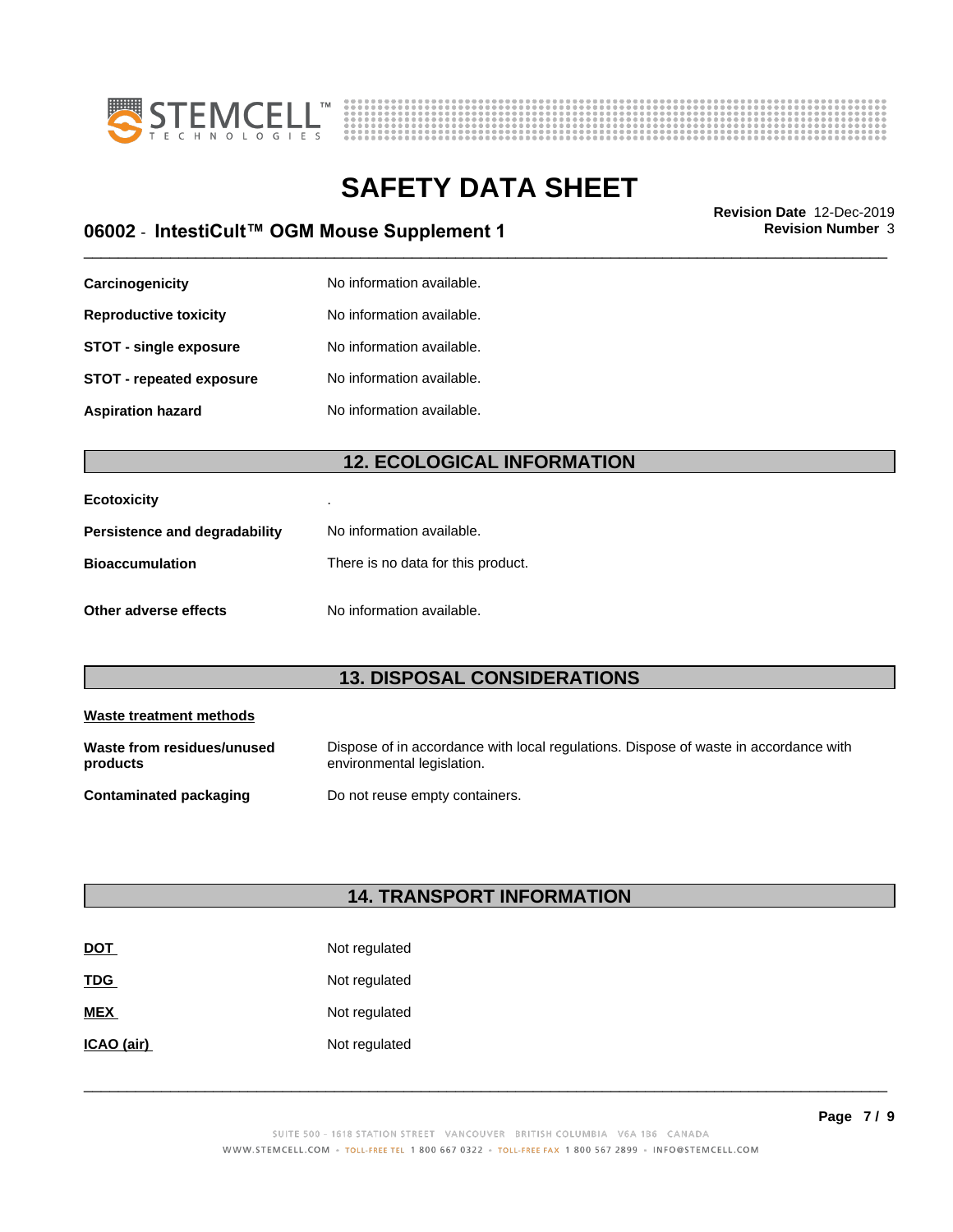



### \_\_\_\_\_\_\_\_\_\_\_\_\_\_\_\_\_\_\_\_\_\_\_\_\_\_\_\_\_\_\_\_\_\_\_\_\_\_\_\_\_\_\_\_\_\_\_\_\_\_\_\_\_\_\_\_\_\_\_\_\_\_\_\_\_\_\_\_\_\_\_\_\_\_\_\_\_\_\_\_\_\_\_\_\_\_\_\_\_\_\_\_\_ **Revision Date** 12-Dec-2019 **06002** - **IntestiCult™ OGM Mouse Supplement 1 Revision Number** 3

| Carcinogenicity                 | No information available. |
|---------------------------------|---------------------------|
| <b>Reproductive toxicity</b>    | No information available. |
| <b>STOT - single exposure</b>   | No information available. |
| <b>STOT - repeated exposure</b> | No information available. |
| <b>Aspiration hazard</b>        | No information available. |

#### **12. ECOLOGICAL INFORMATION**

| <b>Ecotoxicity</b>            |                                    |
|-------------------------------|------------------------------------|
| Persistence and degradability | No information available.          |
| <b>Bioaccumulation</b>        | There is no data for this product. |
| Other adverse effects         | No information available.          |

#### **13. DISPOSAL CONSIDERATIONS**

| Waste treatment methods                |                                                                                                                    |
|----------------------------------------|--------------------------------------------------------------------------------------------------------------------|
| Waste from residues/unused<br>products | Dispose of in accordance with local regulations. Dispose of waste in accordance with<br>environmental legislation. |
| Contaminated packaging                 | Do not reuse empty containers.                                                                                     |

### **14. TRANSPORT INFORMATION**

| <b>DOT</b> | Not regulated |
|------------|---------------|
| <b>TDG</b> | Not regulated |
| <b>MEX</b> | Not regulated |
| ICAO (air) | Not regulated |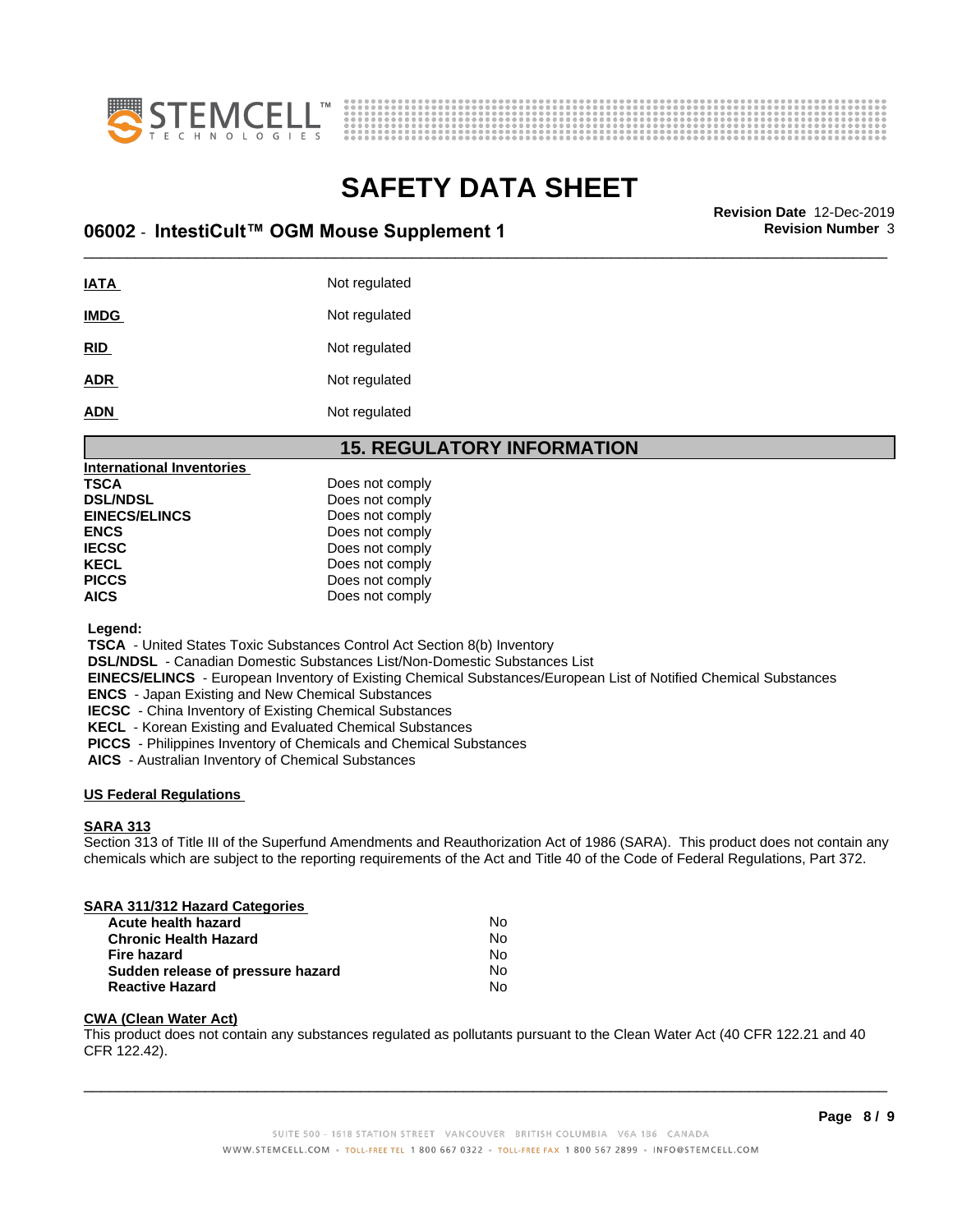



## **SAFETY DATA SHEET**<br>Revision Date 12-Dec-2019

### \_\_\_\_\_\_\_\_\_\_\_\_\_\_\_\_\_\_\_\_\_\_\_\_\_\_\_\_\_\_\_\_\_\_\_\_\_\_\_\_\_\_\_\_\_\_\_\_\_\_\_\_\_\_\_\_\_\_\_\_\_\_\_\_\_\_\_\_\_\_\_\_\_\_\_\_\_\_\_\_\_\_\_\_\_\_\_\_\_\_\_\_\_ **Revision Date** 12-Dec-2019 **06002** - **IntestiCult™ OGM Mouse Supplement 1 Revision Number** 3

**IATA** Not regulated **IMDG** Not regulated **RID** Not regulated ADR Not regulated **ADN** Not regulated

#### **15. REGULATORY INFORMATION**

| <b>International Inventories</b> |                 |
|----------------------------------|-----------------|
| TSCA                             | Does not comply |
| <b>DSL/NDSL</b>                  | Does not comply |
| <b>EINECS/ELINCS</b>             | Does not comply |
| ENCS                             | Does not comply |
| IECSC                            | Does not comply |
| KECL                             | Does not comply |
| PICCS                            | Does not comply |
| AICS                             | Does not comply |
|                                  |                 |

 **Legend:**

 **TSCA** - United States Toxic Substances Control Act Section 8(b) Inventory

 **DSL/NDSL** - Canadian Domestic Substances List/Non-Domestic Substances List

 **EINECS/ELINCS** - European Inventory of Existing Chemical Substances/European List of Notified Chemical Substances

 **ENCS** - Japan Existing and New Chemical Substances

 **IECSC** - China Inventory of Existing Chemical Substances

 **KECL** - Korean Existing and Evaluated Chemical Substances

 **PICCS** - Philippines Inventory of Chemicals and Chemical Substances

 **AICS** - Australian Inventory of Chemical Substances

#### **US Federal Regulations**

#### **SARA 313**

Section 313 of Title III of the Superfund Amendments and Reauthorization Act of 1986 (SARA). This product does not contain any chemicals which are subject to the reporting requirements of the Act and Title 40 of the Code of Federal Regulations, Part 372.

#### **SARA 311/312 Hazard Categories**

| Acute health hazard               | Nο |  |
|-----------------------------------|----|--|
| <b>Chronic Health Hazard</b>      | No |  |
| Fire hazard                       | Nο |  |
| Sudden release of pressure hazard | N٥ |  |
| <b>Reactive Hazard</b>            | N٥ |  |

#### **CWA (Clean WaterAct)**

This product does not contain any substances regulated as pollutants pursuant to the Clean Water Act (40 CFR 122.21 and 40 CFR 122.42).